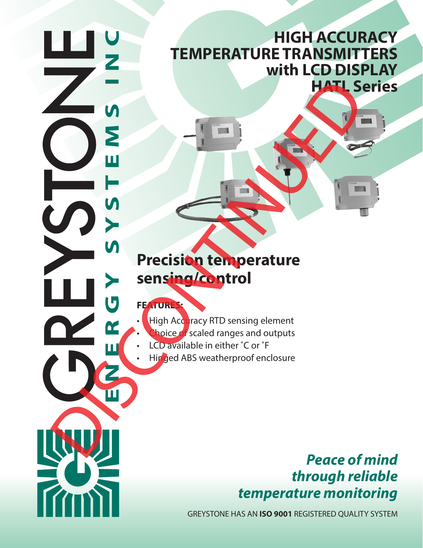# **HIGH ACCURACY TEMPERATURE TRANSMITTERS with LCD DISPLAY HATL Series**

# **Precision temperature sensing/control** • High Ad Tax (TIT) sensing element<br>
Separate Discontinued ABS weatherproof enclosure<br>
DISCONTINUES AREA (TRIS SERVICED CONTINUED)<br>
DISCONTINUE DISCONTINUE DISCONTINUE DISCONTINUE DISCONTINUED DE CONTINUES ENCLOYED AND SAV

## **FEATURES:**

- **High Accuracy RTD sensing element**
- hoice of scaled ranges and outputs
- LCD available in either ˚C or ˚F
	-

# *Peace of mind through reliable temperature monitoring*

GREYSTONE HAS AN **ISO 9001** REGISTERED QUALITY SYSTEM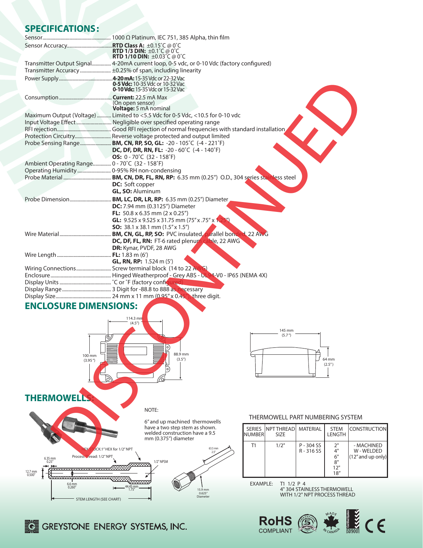### **SPECIFICATIONS:**

|                                                                                          | <b>RTD 1/3 DIN:</b> $\pm 0.1^{\circ}$ C @ 0°C                    |                                                             |                 |               |                                  |                        |               |                          |  |
|------------------------------------------------------------------------------------------|------------------------------------------------------------------|-------------------------------------------------------------|-----------------|---------------|----------------------------------|------------------------|---------------|--------------------------|--|
|                                                                                          |                                                                  | <b>RTD 1/10 DIN:</b> $\pm 0.03^{\circ}C \otimes 0^{\circ}C$ |                 |               |                                  |                        |               |                          |  |
| Transmitter Output Signal 4-20mA current loop, 0-5 vdc, or 0-10 Vdc (factory configured) |                                                                  |                                                             |                 |               |                                  |                        |               |                          |  |
| Transmitter Accuracy ±0.25% of span, including linearity                                 |                                                                  |                                                             |                 |               |                                  |                        |               |                          |  |
|                                                                                          |                                                                  |                                                             |                 |               |                                  |                        |               |                          |  |
|                                                                                          |                                                                  | 0-5 Vdc: 10-35 Vdc or 10-32 Vac                             |                 |               |                                  |                        |               |                          |  |
|                                                                                          |                                                                  | <b>0-10 Vdc:</b> 15-35 Vdc or 15-32 Vac                     |                 |               |                                  |                        |               |                          |  |
|                                                                                          |                                                                  |                                                             |                 |               |                                  |                        |               |                          |  |
|                                                                                          | (On open sensor)                                                 |                                                             |                 |               |                                  |                        |               |                          |  |
|                                                                                          | Voltage: 5 mA nominal                                            |                                                             |                 |               |                                  |                        |               |                          |  |
| Maximum Output (Voltage)  Limited to <5.5 Vdc for 0-5 Vdc, <10.5 for 0-10 vdc            |                                                                  |                                                             |                 |               |                                  |                        |               |                          |  |
|                                                                                          |                                                                  |                                                             |                 |               |                                  |                        |               |                          |  |
|                                                                                          |                                                                  |                                                             |                 |               |                                  |                        |               |                          |  |
| Protection Circuitry Reverse voltage protected and output limited                        |                                                                  |                                                             |                 |               |                                  |                        |               |                          |  |
|                                                                                          | Probe Sensing Range BM, CN, RP, SO, GL: -20 - 105°C (-4 - 221°F) |                                                             |                 |               |                                  |                        |               |                          |  |
|                                                                                          |                                                                  | DC, DF, DR, RN, FL: -20 - 60°C (-4 - 140°F)                 |                 |               |                                  |                        |               |                          |  |
|                                                                                          |                                                                  | OS: 0 - 70°C (32 - 158°F)                                   |                 |               |                                  |                        |               |                          |  |
| Ambient Operating Range 0 - 70°C (32 - 158°F)                                            |                                                                  |                                                             |                 |               |                                  |                        |               |                          |  |
|                                                                                          |                                                                  |                                                             |                 |               |                                  |                        |               |                          |  |
|                                                                                          |                                                                  |                                                             |                 |               |                                  |                        |               |                          |  |
|                                                                                          | <b>DC:</b> Soft copper                                           |                                                             |                 |               |                                  |                        |               |                          |  |
|                                                                                          | <b>GL, SO: Aluminum</b>                                          |                                                             |                 |               |                                  |                        |               |                          |  |
|                                                                                          |                                                                  |                                                             |                 |               |                                  |                        |               |                          |  |
|                                                                                          |                                                                  | <b>DC:</b> 7.94 mm (0.3125") Diameter                       |                 |               |                                  |                        |               |                          |  |
|                                                                                          |                                                                  | FL: $50.8 \times 6.35$ mm (2 $\times$ 0.25")                |                 |               |                                  |                        |               |                          |  |
|                                                                                          |                                                                  | <b>GL:</b> 9.525 x 9.525 x 31.75 mm (75" x .75" x 1.2       |                 |               |                                  |                        |               |                          |  |
|                                                                                          |                                                                  | <b>SO:</b> 38.1 x 38.1 mm $(1.5" \times 1.5")$              |                 |               |                                  |                        |               |                          |  |
|                                                                                          |                                                                  |                                                             |                 |               |                                  |                        |               |                          |  |
|                                                                                          |                                                                  | DC, DF, FL, RN: FT-6 rated plenum cable, 22 AWG             |                 |               |                                  |                        |               |                          |  |
|                                                                                          |                                                                  | <b>DR:</b> Kynar, PVDF, 28 AWG                              |                 |               |                                  |                        |               |                          |  |
|                                                                                          |                                                                  |                                                             |                 |               |                                  |                        |               |                          |  |
|                                                                                          |                                                                  | <b>GL, RN, RP:</b> 1.524 m (5')                             |                 |               |                                  |                        |               |                          |  |
|                                                                                          |                                                                  |                                                             |                 |               |                                  |                        |               |                          |  |
|                                                                                          |                                                                  |                                                             |                 |               |                                  |                        |               |                          |  |
|                                                                                          |                                                                  |                                                             |                 |               |                                  |                        |               |                          |  |
|                                                                                          |                                                                  |                                                             |                 |               |                                  |                        |               |                          |  |
|                                                                                          |                                                                  |                                                             |                 |               |                                  |                        |               |                          |  |
|                                                                                          |                                                                  |                                                             |                 |               |                                  |                        |               |                          |  |
| <b>ENCLOSURE DIMENSIONS:</b>                                                             |                                                                  |                                                             |                 |               |                                  |                        |               |                          |  |
|                                                                                          |                                                                  |                                                             |                 |               |                                  |                        |               |                          |  |
|                                                                                          | $114.3 \text{ mm}$<br>(4.5 <sup>''</sup> )                       |                                                             |                 |               |                                  |                        |               |                          |  |
|                                                                                          |                                                                  |                                                             |                 |               |                                  |                        |               |                          |  |
|                                                                                          |                                                                  |                                                             |                 |               | 145 mm<br>(5.7 <sup>''</sup> )   |                        |               |                          |  |
| (O),                                                                                     |                                                                  |                                                             |                 |               |                                  |                        |               |                          |  |
|                                                                                          |                                                                  |                                                             |                 |               |                                  |                        |               |                          |  |
| 100 mm                                                                                   |                                                                  | 88.9 mm                                                     |                 |               |                                  |                        |               |                          |  |
| (3.95'')                                                                                 |                                                                  | (3.5 <sup>''</sup> )                                        |                 |               |                                  |                        | 64 mm         |                          |  |
|                                                                                          |                                                                  |                                                             |                 |               |                                  |                        | (2.5'')       |                          |  |
|                                                                                          |                                                                  |                                                             |                 |               |                                  |                        |               |                          |  |
|                                                                                          |                                                                  |                                                             |                 |               |                                  |                        |               |                          |  |
|                                                                                          |                                                                  |                                                             |                 |               |                                  |                        |               |                          |  |
| <b>THERMOWEL</b>                                                                         |                                                                  |                                                             |                 |               |                                  |                        |               |                          |  |
|                                                                                          |                                                                  |                                                             |                 |               |                                  |                        |               |                          |  |
|                                                                                          |                                                                  | NOTE:                                                       |                 |               |                                  |                        |               |                          |  |
|                                                                                          |                                                                  |                                                             |                 |               | THERMOWELL PART NUMBERING SYSTEM |                        |               |                          |  |
|                                                                                          |                                                                  | 6" and up machined thermowells                              |                 |               |                                  |                        |               |                          |  |
|                                                                                          |                                                                  | have a two step stem as shown.                              |                 | <b>SERIES</b> | NPT THREAD                       | <b>MATERIAL</b>        | STEM          | <b>CONSTRUCTIC</b>       |  |
|                                                                                          |                                                                  | welded construction have a 9.5                              |                 | <b>NUMBER</b> | <b>SIZE</b>                      |                        | <b>LENGTH</b> |                          |  |
|                                                                                          |                                                                  | mm (0.375") diameter                                        |                 |               |                                  |                        |               |                          |  |
|                                                                                          | OCK:1" HEX for 1/2" NPT                                          |                                                             | 63.5 mm<br>2.5" | T1            | 1/2"                             | P - 304 SS<br>R-316 SS | 2"<br>4"      | - MACHINED<br>W - WELDED |  |
| Process Thread: 1/2" NPT                                                                 |                                                                  |                                                             |                 |               |                                  |                        | 6"            | (12" and up on           |  |

### **ENCLOSURE DIMENSIONS:**





### THERMOWELL PART NUMBERING SYSTEM

| NUMBERI | SERIES INPT THREADI MATERIAL<br><b>SIZE</b> |                          | <b>STEM</b><br>LENGTH               | <b>ICONSTRUCTION</b>                             |
|---------|---------------------------------------------|--------------------------|-------------------------------------|--------------------------------------------------|
| Τ1      | 1/2"                                        | $P - 304$ SS<br>R-316 SS | 2"<br>4"<br>6"<br>8"<br>12"<br>18'' | - MACHINED<br>W - WELDED<br>$(12''$ and up only) |

EXAMPLE: T1 1/2 P 4

4" 304 STAINLESS THERMOWELL WITH 1/2" NPT PROCESS THREAD





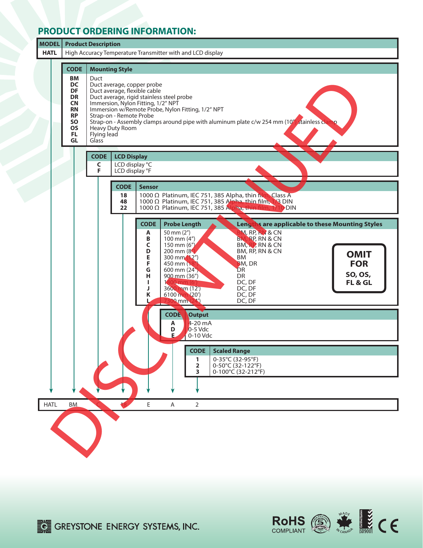### **PRODUCT ORDERING INFORMATION:**



RoHS **AND WANTED STATES**